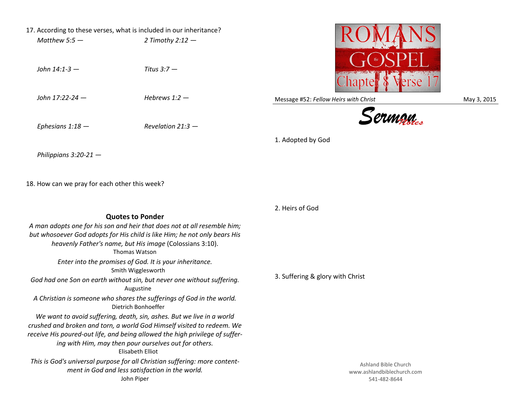- 17. According to these verses, what is included in our inheritance? *Matthew 5:5 — 2 Timothy 2:12 —*
	- *John 14:1-3 — Titus 3:7 —*

*John 17:22-24 — Hebrews 1:2 —*

*Ephesians 1:18 — Revelation 21:3 —*

Message #52: *Fellow Heirs with Christ* May 3, 2015





1. Adopted by God

*Philippians 3:20-21 —*

18. How can we pray for each other this week?

2. Heirs of God 3. Suffering & glory with Christ **Quotes to Ponder** *A man adopts one for his son and heir that does not at all resemble him; but whosoever God adopts for His child is like Him; he not only bears His heavenly Father's name, but His image* (Colossians 3:10). Thomas Watson *Enter into the promises of God. It is your inheritance.*  Smith Wigglesworth *God had one Son on earth without sin, but never one without suffering.* Augustine *A Christian is someone who shares the sufferings of God in the world.* Dietrich Bonhoeffer *We want to avoid suffering, death, sin, ashes. But we live in a world crushed and broken and torn, a world God Himself visited to redeem. We receive His poured-out life, and being allowed the high privilege of suffering with Him, may then pour ourselves out for others.* Elisabeth Elliot *This is God's universal purpose for all Christian suffering: more contentment in God and less satisfaction in the world.* John Piper Ashland Bible Church www.ashlandbiblechurch.com 541-482-8644